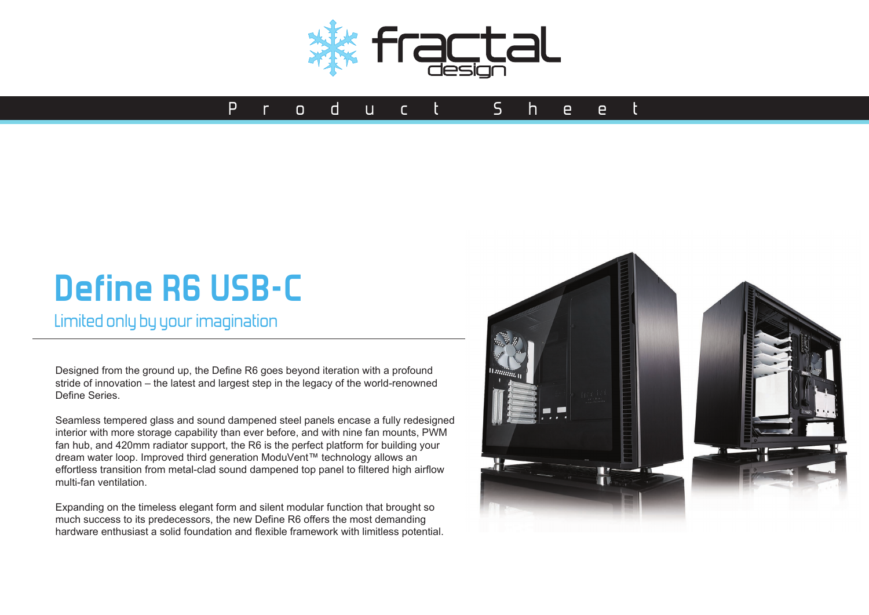

## Pro du ct Sheet

# **Define R6 USB-C**

Limited only by your imagination

Designed from the ground up, the Define R6 goes beyond iteration with a profound stride of innovation – the latest and largest step in the legacy of the world-renowned Define Series.

Seamless tempered glass and sound dampened steel panels encase a fully redesigned interior with more storage capability than ever before, and with nine fan mounts, PWM fan hub, and 420mm radiator support, the R6 is the perfect platform for building your dream water loop. Improved third generation ModuVent™ technology allows an effortless transition from metal-clad sound dampened top panel to filtered high airflow multi-fan ventilation.

Expanding on the timeless elegant form and silent modular function that brought so much success to its predecessors, the new Define R6 offers the most demanding hardware enthusiast a solid foundation and flexible framework with limitless potential.

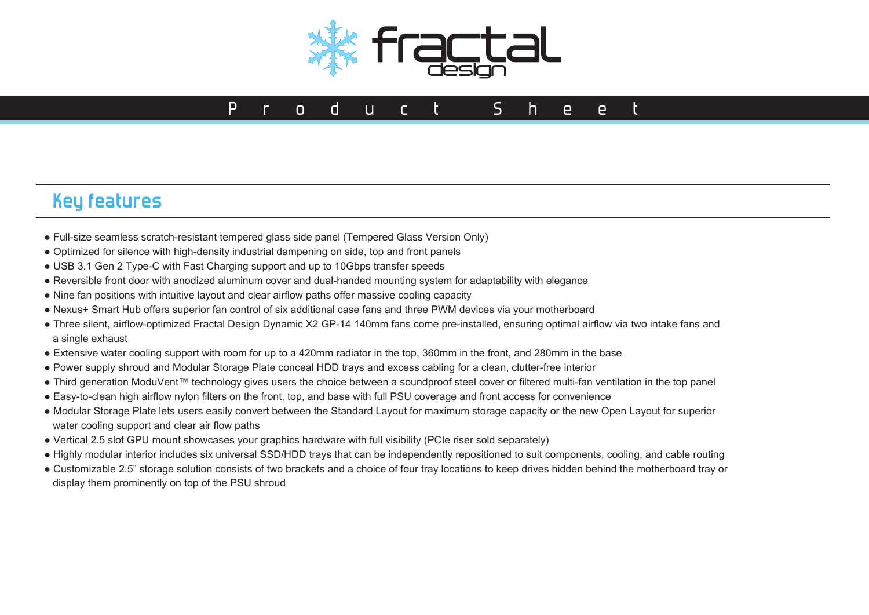

#### **Key features**

- Full-size seamless scratch-resistant tempered glass side panel (Tempered Glass Version Only)
- Optimized for silence with high-density industrial dampening on side, top and front panels
- USB 3.1 Gen 2 Type-C with Fast Charging support and up to 10Gbps transfer speeds
- Reversible front door with anodized aluminum cover and dual-handed mounting system for adaptability with elegance
- Nine fan positions with intuitive layout and clear airflow paths offer massive cooling capacity
- Nexus+ Smart Hub offers superior fan control of six additional case fans and three PWM devices via your motherboard
- Three silent, airflow-optimized Fractal Design Dynamic X2 GP-14 140mm fans come pre-installed, ensuring optimal airflow via two intake fans and a single exhaust
- Extensive water cooling support with room for up to a 420mm radiator in the top, 360mm in the front, and 280mm in the base
- Power supply shroud and Modular Storage Plate conceal HDD trays and excess cabling for a clean, clutter-free interior
- Third generation ModuVent™ technology gives users the choice between a soundproof steel cover or filtered multi-fan ventilation in the top panel
- Easy-to-clean high airflow nylon filters on the front, top, and base with full PSU coverage and front access for convenience
- Modular Storage Plate lets users easily convert between the Standard Layout for maximum storage capacity or the new Open Layout for superior water cooling support and clear air flow paths
- Vertical 2.5 slot GPU mount showcases your graphics hardware with full visibility (PCIe riser sold separately)
- Highly modular interior includes six universal SSD/HDD trays that can be independently repositioned to suit components, cooling, and cable routing
- Customizable 2.5" storage solution consists of two brackets and a choice of four tray locations to keep drives hidden behind the motherboard tray or display them prominently on top of the PSU shroud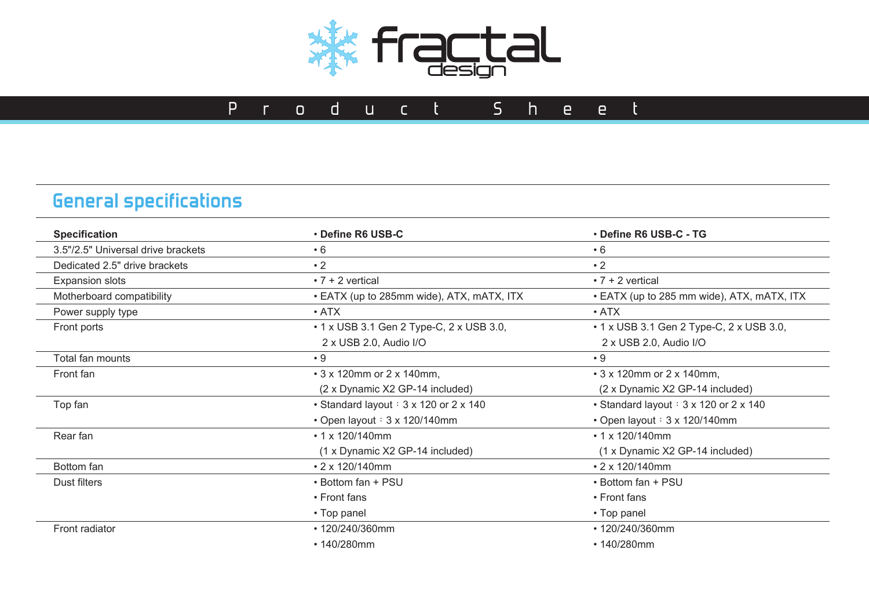

# **General specifications**

| • Define R6 USB-C<br><b>Specification</b> |                                           | • Define R6 USB-C - TG                     |  |  |
|-------------------------------------------|-------------------------------------------|--------------------------------------------|--|--|
| 3.5"/2.5" Universal drive brackets        | $\cdot 6$                                 | $\cdot 6$                                  |  |  |
| Dedicated 2.5" drive brackets             | $\cdot$ 2                                 | $\cdot$ 2                                  |  |  |
| <b>Expansion slots</b>                    | $\cdot$ 7 + 2 vertical                    | $\cdot$ 7 + 2 vertical                     |  |  |
| Motherboard compatibility                 | • EATX (up to 285mm wide), ATX, mATX, ITX | • EATX (up to 285 mm wide), ATX, mATX, ITX |  |  |
| Power supply type                         | $\cdot$ ATX                               | $\cdot$ ATX                                |  |  |
| Front ports                               | • 1 x USB 3.1 Gen 2 Type-C, 2 x USB 3.0,  | • 1 x USB 3.1 Gen 2 Type-C, 2 x USB 3.0,   |  |  |
|                                           | 2 x USB 2.0, Audio I/O                    | 2 x USB 2.0, Audio I/O                     |  |  |
| Total fan mounts                          | $\cdot$ 9                                 | $\cdot$ 9                                  |  |  |
| Front fan                                 | • 3 x 120mm or 2 x 140mm,                 | • 3 x 120mm or 2 x 140mm,                  |  |  |
|                                           | (2 x Dynamic X2 GP-14 included)           | (2 x Dynamic X2 GP-14 included)            |  |  |
| Top fan                                   | • Standard layout: 3 x 120 or 2 x 140     | • Standard layout : 3 x 120 or 2 x 140     |  |  |
|                                           | • Open layout : 3 x 120/140mm             | • Open layout : 3 x 120/140mm              |  |  |
| Rear fan                                  | $\cdot$ 1 x 120/140mm                     | $\cdot$ 1 x 120/140mm                      |  |  |
|                                           | (1 x Dynamic X2 GP-14 included)           | (1 x Dynamic X2 GP-14 included)            |  |  |
| Bottom fan                                | $\cdot$ 2 x 120/140mm                     | • 2 x 120/140mm                            |  |  |
| Dust filters                              | • Bottom fan + PSU                        | • Bottom fan + PSU                         |  |  |
|                                           | • Front fans                              | • Front fans                               |  |  |
|                                           | • Top panel                               | • Top panel                                |  |  |
| Front radiator                            | • 120/240/360mm                           | • 120/240/360mm                            |  |  |
|                                           | • 140/280mm                               | • 140/280mm                                |  |  |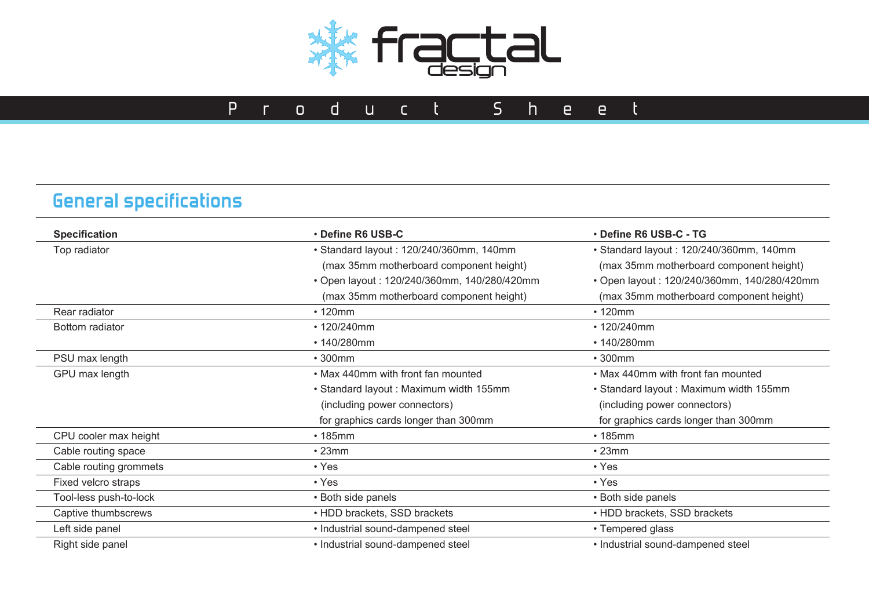

# **General specifications**

| Top radiator           | · Standard layout: 120/240/360mm, 140mm<br>(max 35mm motherboard component height)<br>• Open layout: 120/240/360mm, 140/280/420mm | · Standard layout: 120/240/360mm, 140mm<br>(max 35mm motherboard component height)<br>• Open layout: 120/240/360mm, 140/280/420mm |  |
|------------------------|-----------------------------------------------------------------------------------------------------------------------------------|-----------------------------------------------------------------------------------------------------------------------------------|--|
|                        |                                                                                                                                   |                                                                                                                                   |  |
|                        |                                                                                                                                   |                                                                                                                                   |  |
|                        |                                                                                                                                   |                                                                                                                                   |  |
|                        | (max 35mm motherboard component height)                                                                                           | (max 35mm motherboard component height)                                                                                           |  |
| Rear radiator          | $\cdot$ 120mm                                                                                                                     | $\cdot$ 120mm                                                                                                                     |  |
| Bottom radiator        | • 120/240mm                                                                                                                       | • 120/240mm                                                                                                                       |  |
|                        | • 140/280mm                                                                                                                       | • 140/280mm                                                                                                                       |  |
| PSU max length         | $\cdot$ 300mm                                                                                                                     | • 300mm                                                                                                                           |  |
| GPU max length         | • Max 440mm with front fan mounted                                                                                                | • Max 440mm with front fan mounted                                                                                                |  |
|                        | • Standard layout: Maximum width 155mm                                                                                            | • Standard layout: Maximum width 155mm                                                                                            |  |
|                        | (including power connectors)                                                                                                      | (including power connectors)                                                                                                      |  |
|                        | for graphics cards longer than 300mm                                                                                              | for graphics cards longer than 300mm                                                                                              |  |
| CPU cooler max height  | $\cdot$ 185mm                                                                                                                     | $\cdot$ 185mm                                                                                                                     |  |
| Cable routing space    | $\cdot$ 23mm                                                                                                                      | •23mm                                                                                                                             |  |
| Cable routing grommets | $\cdot$ Yes                                                                                                                       | $\cdot$ Yes                                                                                                                       |  |
| Fixed velcro straps    | $\cdot$ Yes                                                                                                                       | • Yes                                                                                                                             |  |
| Tool-less push-to-lock | • Both side panels                                                                                                                | • Both side panels                                                                                                                |  |
| Captive thumbscrews    | • HDD brackets, SSD brackets                                                                                                      | • HDD brackets, SSD brackets                                                                                                      |  |
| Left side panel        | • Industrial sound-dampened steel                                                                                                 | • Tempered glass                                                                                                                  |  |
| Right side panel       | • Industrial sound-dampened steel                                                                                                 | • Industrial sound-dampened steel                                                                                                 |  |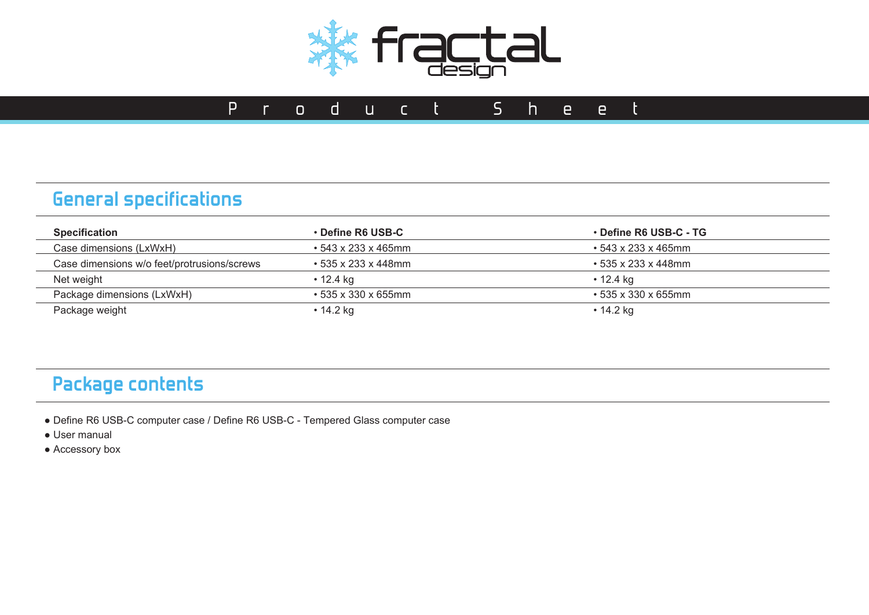

## **General specifications**

| <b>Specification</b>                        | <b>⋅Define R6 USB-C</b>   | • Define R6 USB-C - TG    |  |
|---------------------------------------------|---------------------------|---------------------------|--|
| Case dimensions (LxWxH)                     | $\cdot$ 543 x 233 x 465mm | $\cdot$ 543 x 233 x 465mm |  |
| Case dimensions w/o feet/protrusions/screws | $\cdot$ 535 x 233 x 448mm | $\cdot$ 535 x 233 x 448mm |  |
| Net weight                                  | • 12.4 ka                 | $\cdot$ 12.4 kg           |  |
| Package dimensions (LxWxH)                  | $\cdot$ 535 x 330 x 655mm | • 535 x 330 x 655mm       |  |
| Package weight                              | • 14.2 kg                 | • 14.2 kg                 |  |

## **Package contents**

- Define R6 USB-C computer case / Define R6 USB-C Tempered Glass computer case
- User manual
- Accessory box